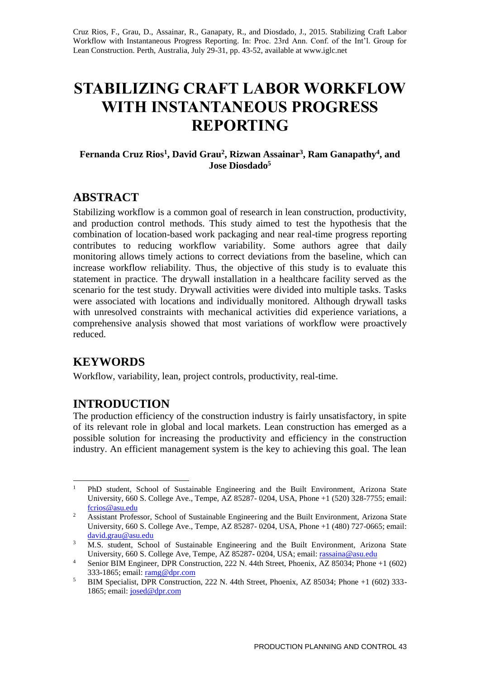Cruz Rios, F., Grau, D., Assainar, R., Ganapaty, R., and Diosdado, J., 2015. Stabilizing Craft Labor Workflow with Instantaneous Progress Reporting. In: Proc. 23rd Ann. Conf. of the Int'l. Group for Lean Construction. Perth, Australia, July 29-31, pp. 43-52, available at www.iglc.net

# **STABILIZING CRAFT LABOR WORKFLOW WITH INSTANTANEOUS PROGRESS REPORTING**

**Fernanda Cruz Rios<sup>1</sup> , David Grau<sup>2</sup> , Rizwan Assainar<sup>3</sup> , Ram Ganapathy<sup>4</sup> , and Jose Diosdado<sup>5</sup>**

# **ABSTRACT**

Stabilizing workflow is a common goal of research in lean construction, productivity, and production control methods. This study aimed to test the hypothesis that the combination of location-based work packaging and near real-time progress reporting contributes to reducing workflow variability. Some authors agree that daily monitoring allows timely actions to correct deviations from the baseline, which can increase workflow reliability. Thus, the objective of this study is to evaluate this statement in practice. The drywall installation in a healthcare facility served as the scenario for the test study. Drywall activities were divided into multiple tasks. Tasks were associated with locations and individually monitored. Although drywall tasks with unresolved constraints with mechanical activities did experience variations, a comprehensive analysis showed that most variations of workflow were proactively reduced.

## **KEYWORDS**

Workflow, variability, lean, project controls, productivity, real-time.

## **INTRODUCTION**

The production efficiency of the construction industry is fairly unsatisfactory, in spite of its relevant role in global and local markets. Lean construction has emerged as a possible solution for increasing the productivity and efficiency in the construction industry. An efficient management system is the key to achieving this goal. The lean

 $\mathbf{1}$ <sup>1</sup> PhD student, School of Sustainable Engineering and the Built Environment, Arizona State University, 660 S. College Ave., Tempe, AZ 85287- 0204, USA, Phone +1 (520) 328-7755; email: [fcrios@asu.edu](mailto:fcrios@asu.edu)

<sup>&</sup>lt;sup>2</sup> Assistant Professor, School of Sustainable Engineering and the Built Environment, Arizona State University, 660 S. College Ave., Tempe, AZ 85287- 0204, USA, Phone +1 (480) 727-0665; email: [david.grau@asu.edu](mailto:david.grau@asu.edu)

<sup>&</sup>lt;sup>3</sup> M.S. student, School of Sustainable Engineering and the Built Environment, Arizona State University, 660 S. College Ave, Tempe, AZ 85287- 0204, USA; email: [rassaina@asu.edu](mailto:rassaina@asu.edu)

<sup>&</sup>lt;sup>4</sup> Senior BIM Engineer, DPR Construction, 222 N. 44th Street, Phoenix,  $\overline{AZ}$  85034; Phone +1 (602) 333-1865; email: [ramg@dpr.com](mailto:ramg@dpr.com)

<sup>&</sup>lt;sup>5</sup> BIM Specialist, DPR Construction, 222 N. 44th Street, Phoenix, AZ 85034; Phone +1 (602) 333-1865; email: josed@dpr.com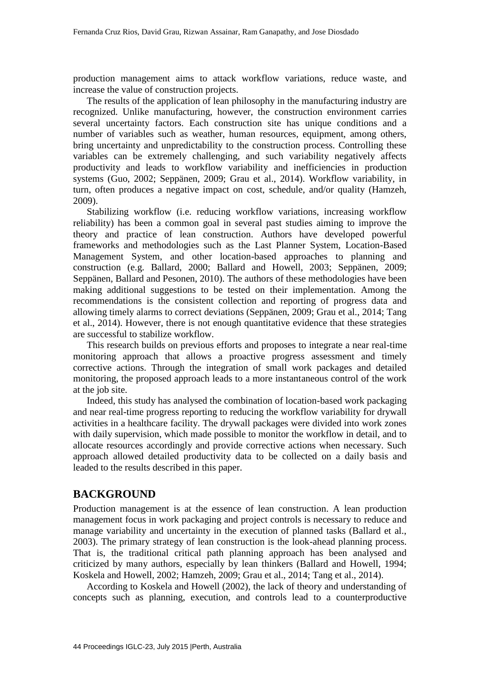production management aims to attack workflow variations, reduce waste, and increase the value of construction projects.

The results of the application of lean philosophy in the manufacturing industry are recognized. Unlike manufacturing, however, the construction environment carries several uncertainty factors. Each construction site has unique conditions and a number of variables such as weather, human resources, equipment, among others, bring uncertainty and unpredictability to the construction process. Controlling these variables can be extremely challenging, and such variability negatively affects productivity and leads to workflow variability and inefficiencies in production systems (Guo, 2002; Seppänen, 2009; Grau et al., 2014). Workflow variability, in turn, often produces a negative impact on cost, schedule, and/or quality (Hamzeh, 2009).

Stabilizing workflow (i.e. reducing workflow variations, increasing workflow reliability) has been a common goal in several past studies aiming to improve the theory and practice of lean construction. Authors have developed powerful frameworks and methodologies such as the Last Planner System, Location-Based Management System, and other location-based approaches to planning and construction (e.g. Ballard, 2000; Ballard and Howell, 2003; Seppänen, 2009; Seppänen, Ballard and Pesonen, 2010). The authors of these methodologies have been making additional suggestions to be tested on their implementation. Among the recommendations is the consistent collection and reporting of progress data and allowing timely alarms to correct deviations (Seppänen, 2009; Grau et al., 2014; Tang et al., 2014). However, there is not enough quantitative evidence that these strategies are successful to stabilize workflow.

This research builds on previous efforts and proposes to integrate a near real-time monitoring approach that allows a proactive progress assessment and timely corrective actions. Through the integration of small work packages and detailed monitoring, the proposed approach leads to a more instantaneous control of the work at the job site.

Indeed, this study has analysed the combination of location-based work packaging and near real-time progress reporting to reducing the workflow variability for drywall activities in a healthcare facility. The drywall packages were divided into work zones with daily supervision, which made possible to monitor the workflow in detail, and to allocate resources accordingly and provide corrective actions when necessary. Such approach allowed detailed productivity data to be collected on a daily basis and leaded to the results described in this paper.

### **BACKGROUND**

Production management is at the essence of lean construction. A lean production management focus in work packaging and project controls is necessary to reduce and manage variability and uncertainty in the execution of planned tasks (Ballard et al., 2003). The primary strategy of lean construction is the look-ahead planning process. That is, the traditional critical path planning approach has been analysed and criticized by many authors, especially by lean thinkers (Ballard and Howell, 1994; Koskela and Howell, 2002; Hamzeh, 2009; Grau et al., 2014; Tang et al., 2014).

According to Koskela and Howell (2002), the lack of theory and understanding of concepts such as planning, execution, and controls lead to a counterproductive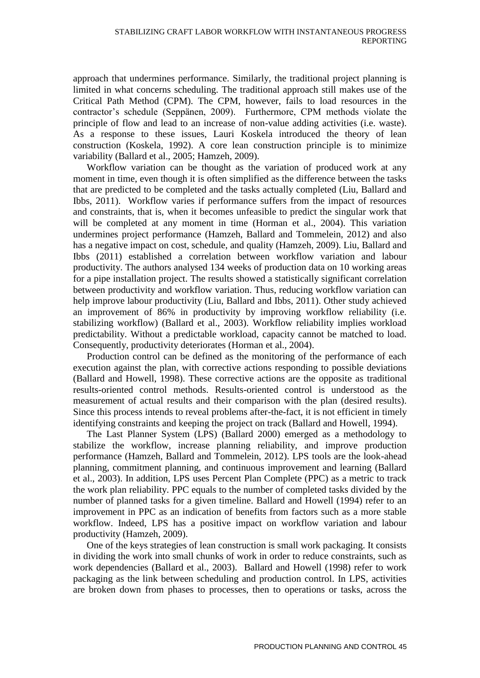approach that undermines performance. Similarly, the traditional project planning is limited in what concerns scheduling. The traditional approach still makes use of the Critical Path Method (CPM). The CPM, however, fails to load resources in the contractor's schedule (Seppänen, 2009). Furthermore, CPM methods violate the principle of flow and lead to an increase of non-value adding activities (i.e. waste). As a response to these issues, Lauri Koskela introduced the theory of lean construction (Koskela, 1992). A core lean construction principle is to minimize variability (Ballard et al., 2005; Hamzeh, 2009).

Workflow variation can be thought as the variation of produced work at any moment in time, even though it is often simplified as the difference between the tasks that are predicted to be completed and the tasks actually completed (Liu, Ballard and Ibbs, 2011). Workflow varies if performance suffers from the impact of resources and constraints, that is, when it becomes unfeasible to predict the singular work that will be completed at any moment in time (Horman et al., 2004). This variation undermines project performance (Hamzeh, Ballard and Tommelein, 2012) and also has a negative impact on cost, schedule, and quality (Hamzeh, 2009). Liu, Ballard and Ibbs (2011) established a correlation between workflow variation and labour productivity. The authors analysed 134 weeks of production data on 10 working areas for a pipe installation project. The results showed a statistically significant correlation between productivity and workflow variation. Thus, reducing workflow variation can help improve labour productivity (Liu, Ballard and Ibbs, 2011). Other study achieved an improvement of 86% in productivity by improving workflow reliability (i.e. stabilizing workflow) (Ballard et al., 2003). Workflow reliability implies workload predictability. Without a predictable workload, capacity cannot be matched to load. Consequently, productivity deteriorates (Horman et al., 2004).

Production control can be defined as the monitoring of the performance of each execution against the plan, with corrective actions responding to possible deviations (Ballard and Howell, 1998). These corrective actions are the opposite as traditional results-oriented control methods. Results-oriented control is understood as the measurement of actual results and their comparison with the plan (desired results). Since this process intends to reveal problems after-the-fact, it is not efficient in timely identifying constraints and keeping the project on track (Ballard and Howell, 1994).

The Last Planner System (LPS) (Ballard 2000) emerged as a methodology to stabilize the workflow, increase planning reliability, and improve production performance (Hamzeh, Ballard and Tommelein, 2012). LPS tools are the look-ahead planning, commitment planning, and continuous improvement and learning (Ballard et al., 2003). In addition, LPS uses Percent Plan Complete (PPC) as a metric to track the work plan reliability. PPC equals to the number of completed tasks divided by the number of planned tasks for a given timeline. Ballard and Howell (1994) refer to an improvement in PPC as an indication of benefits from factors such as a more stable workflow. Indeed, LPS has a positive impact on workflow variation and labour productivity (Hamzeh, 2009).

One of the keys strategies of lean construction is small work packaging. It consists in dividing the work into small chunks of work in order to reduce constraints, such as work dependencies (Ballard et al., 2003). Ballard and Howell (1998) refer to work packaging as the link between scheduling and production control. In LPS, activities are broken down from phases to processes, then to operations or tasks, across the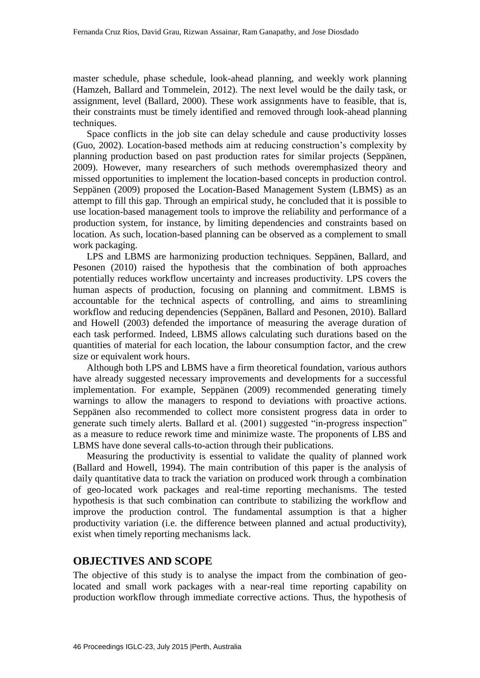master schedule, phase schedule, look-ahead planning, and weekly work planning (Hamzeh, Ballard and Tommelein, 2012). The next level would be the daily task, or assignment, level (Ballard, 2000). These work assignments have to feasible, that is, their constraints must be timely identified and removed through look-ahead planning techniques.

Space conflicts in the job site can delay schedule and cause productivity losses (Guo, 2002). Location-based methods aim at reducing construction's complexity by planning production based on past production rates for similar projects (Seppänen, 2009). However, many researchers of such methods overemphasized theory and missed opportunities to implement the location-based concepts in production control. Seppänen (2009) proposed the Location-Based Management System (LBMS) as an attempt to fill this gap. Through an empirical study, he concluded that it is possible to use location-based management tools to improve the reliability and performance of a production system, for instance, by limiting dependencies and constraints based on location. As such, location-based planning can be observed as a complement to small work packaging.

LPS and LBMS are harmonizing production techniques. Seppänen, Ballard, and Pesonen (2010) raised the hypothesis that the combination of both approaches potentially reduces workflow uncertainty and increases productivity. LPS covers the human aspects of production, focusing on planning and commitment. LBMS is accountable for the technical aspects of controlling, and aims to streamlining workflow and reducing dependencies (Seppänen, Ballard and Pesonen, 2010). Ballard and Howell (2003) defended the importance of measuring the average duration of each task performed. Indeed, LBMS allows calculating such durations based on the quantities of material for each location, the labour consumption factor, and the crew size or equivalent work hours.

Although both LPS and LBMS have a firm theoretical foundation, various authors have already suggested necessary improvements and developments for a successful implementation. For example, Seppänen (2009) recommended generating timely warnings to allow the managers to respond to deviations with proactive actions. Seppänen also recommended to collect more consistent progress data in order to generate such timely alerts. Ballard et al. (2001) suggested "in-progress inspection" as a measure to reduce rework time and minimize waste. The proponents of LBS and LBMS have done several calls-to-action through their publications.

Measuring the productivity is essential to validate the quality of planned work (Ballard and Howell, 1994). The main contribution of this paper is the analysis of daily quantitative data to track the variation on produced work through a combination of geo-located work packages and real-time reporting mechanisms. The tested hypothesis is that such combination can contribute to stabilizing the workflow and improve the production control. The fundamental assumption is that a higher productivity variation (i.e. the difference between planned and actual productivity), exist when timely reporting mechanisms lack.

### **OBJECTIVES AND SCOPE**

The objective of this study is to analyse the impact from the combination of geolocated and small work packages with a near-real time reporting capability on production workflow through immediate corrective actions. Thus, the hypothesis of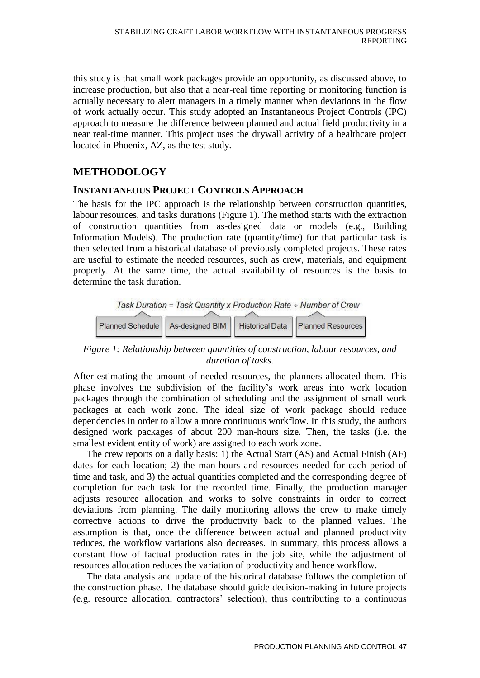this study is that small work packages provide an opportunity, as discussed above, to increase production, but also that a near-real time reporting or monitoring function is actually necessary to alert managers in a timely manner when deviations in the flow of work actually occur. This study adopted an Instantaneous Project Controls (IPC) approach to measure the difference between planned and actual field productivity in a near real-time manner. This project uses the drywall activity of a healthcare project located in Phoenix, AZ, as the test study.

## **METHODOLOGY**

### **INSTANTANEOUS PROJECT CONTROLS APPROACH**

The basis for the IPC approach is the relationship between construction quantities, labour resources, and tasks durations (Figure 1). The method starts with the extraction of construction quantities from as-designed data or models (e.g., Building Information Models). The production rate (quantity/time) for that particular task is then selected from a historical database of previously completed projects. These rates are useful to estimate the needed resources, such as crew, materials, and equipment properly. At the same time, the actual availability of resources is the basis to determine the task duration.



*Figure 1: Relationship between quantities of construction, labour resources, and duration of tasks.*

After estimating the amount of needed resources, the planners allocated them. This phase involves the subdivision of the facility's work areas into work location packages through the combination of scheduling and the assignment of small work packages at each work zone. The ideal size of work package should reduce dependencies in order to allow a more continuous workflow. In this study, the authors designed work packages of about 200 man-hours size. Then, the tasks (i.e. the smallest evident entity of work) are assigned to each work zone.

The crew reports on a daily basis: 1) the Actual Start (AS) and Actual Finish (AF) dates for each location; 2) the man-hours and resources needed for each period of time and task, and 3) the actual quantities completed and the corresponding degree of completion for each task for the recorded time. Finally, the production manager adjusts resource allocation and works to solve constraints in order to correct deviations from planning. The daily monitoring allows the crew to make timely corrective actions to drive the productivity back to the planned values. The assumption is that, once the difference between actual and planned productivity reduces, the workflow variations also decreases. In summary, this process allows a constant flow of factual production rates in the job site, while the adjustment of resources allocation reduces the variation of productivity and hence workflow.

The data analysis and update of the historical database follows the completion of the construction phase. The database should guide decision-making in future projects (e.g. resource allocation, contractors' selection), thus contributing to a continuous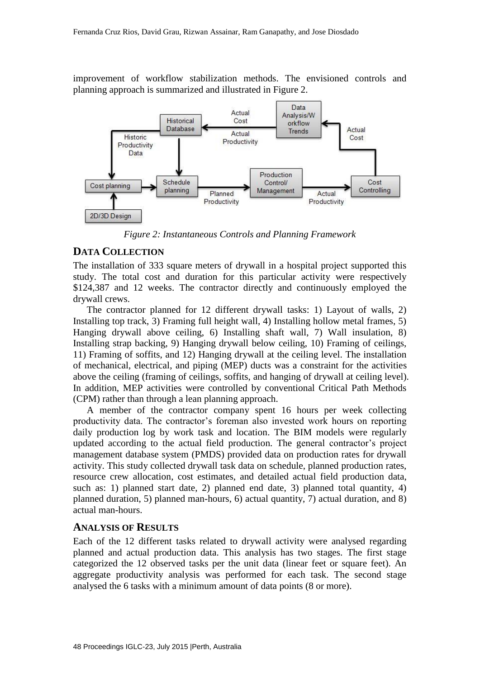improvement of workflow stabilization methods. The envisioned controls and planning approach is summarized and illustrated in Figure 2.



*Figure 2: Instantaneous Controls and Planning Framework*

#### **DATA COLLECTION**

The installation of 333 square meters of drywall in a hospital project supported this study. The total cost and duration for this particular activity were respectively \$124,387 and 12 weeks. The contractor directly and continuously employed the drywall crews.

The contractor planned for 12 different drywall tasks: 1) Layout of walls, 2) Installing top track, 3) Framing full height wall, 4) Installing hollow metal frames, 5) Hanging drywall above ceiling, 6) Installing shaft wall, 7) Wall insulation, 8) Installing strap backing, 9) Hanging drywall below ceiling, 10) Framing of ceilings, 11) Framing of soffits, and 12) Hanging drywall at the ceiling level. The installation of mechanical, electrical, and piping (MEP) ducts was a constraint for the activities above the ceiling (framing of ceilings, soffits, and hanging of drywall at ceiling level). In addition, MEP activities were controlled by conventional Critical Path Methods (CPM) rather than through a lean planning approach.

A member of the contractor company spent 16 hours per week collecting productivity data. The contractor's foreman also invested work hours on reporting daily production log by work task and location. The BIM models were regularly updated according to the actual field production. The general contractor's project management database system (PMDS) provided data on production rates for drywall activity. This study collected drywall task data on schedule, planned production rates, resource crew allocation, cost estimates, and detailed actual field production data, such as: 1) planned start date, 2) planned end date, 3) planned total quantity, 4) planned duration, 5) planned man-hours, 6) actual quantity, 7) actual duration, and 8) actual man-hours.

#### **ANALYSIS OF RESULTS**

Each of the 12 different tasks related to drywall activity were analysed regarding planned and actual production data. This analysis has two stages. The first stage categorized the 12 observed tasks per the unit data (linear feet or square feet). An aggregate productivity analysis was performed for each task. The second stage analysed the 6 tasks with a minimum amount of data points (8 or more).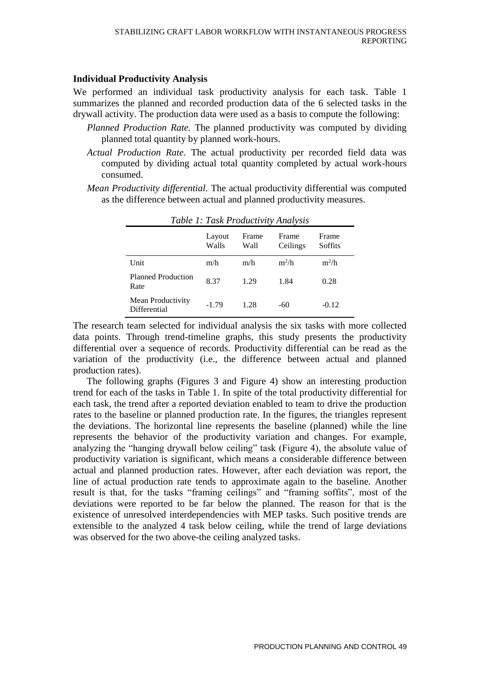#### **Individual Productivity Analysis**

We performed an individual task productivity analysis for each task. Table 1 summarizes the planned and recorded production data of the 6 selected tasks in the drywall activity. The production data were used as a basis to compute the following:

- *Planned Production Rate.* The planned productivity was computed by dividing planned total quantity by planned work-hours.
- *Actual Production Rate.* The actual productivity per recorded field data was computed by dividing actual total quantity completed by actual work-hours consumed.
- *Mean Productivity differential.* The actual productivity differential was computed as the difference between actual and planned productivity measures.

|                                   | Layout<br>Walls | Frame<br>Wall | Frame<br>Ceilings | Frame<br>Soffits |
|-----------------------------------|-----------------|---------------|-------------------|------------------|
| Unit                              | m/h             | m/h           | $m^2/h$           | $m^2/h$          |
| <b>Planned Production</b><br>Rate | 8.37            | 1.29          | 1.84              | 0.28             |
| Mean Productivity<br>Differential | $-1.79$         | 1.28          | -60               | $-0.12$          |

*Table 1: Task Productivity Analysis*

The research team selected for individual analysis the six tasks with more collected data points. Through trend-timeline graphs, this study presents the productivity differential over a sequence of records. Productivity differential can be read as the variation of the productivity (i.e., the difference between actual and planned production rates).

The following graphs (Figures 3 and Figure 4) show an interesting production trend for each of the tasks in Table 1. In spite of the total productivity differential for each task, the trend after a reported deviation enabled to team to drive the production rates to the baseline or planned production rate. In the figures, the triangles represent the deviations. The horizontal line represents the baseline (planned) while the line represents the behavior of the productivity variation and changes. For example, analyzing the "hanging drywall below ceiling" task (Figure 4), the absolute value of productivity variation is significant, which means a considerable difference between actual and planned production rates. However, after each deviation was report, the line of actual production rate tends to approximate again to the baseline. Another result is that, for the tasks "framing ceilings" and "framing soffits", most of the deviations were reported to be far below the planned. The reason for that is the existence of unresolved interdependencies with MEP tasks. Such positive trends are extensible to the analyzed 4 task below ceiling, while the trend of large deviations was observed for the two above-the ceiling analyzed tasks.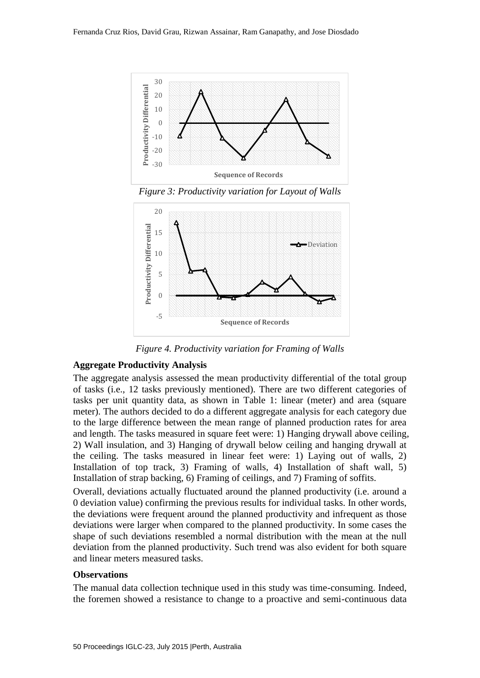

*Figure 3: Productivity variation for Layout of Walls*



*Figure 4. Productivity variation for Framing of Walls*

#### **Aggregate Productivity Analysis**

The aggregate analysis assessed the mean productivity differential of the total group of tasks (i.e., 12 tasks previously mentioned). There are two different categories of tasks per unit quantity data, as shown in Table 1: linear (meter) and area (square meter). The authors decided to do a different aggregate analysis for each category due to the large difference between the mean range of planned production rates for area and length. The tasks measured in square feet were: 1) Hanging drywall above ceiling, 2) Wall insulation, and 3) Hanging of drywall below ceiling and hanging drywall at the ceiling. The tasks measured in linear feet were: 1) Laying out of walls, 2) Installation of top track, 3) Framing of walls, 4) Installation of shaft wall, 5) Installation of strap backing, 6) Framing of ceilings, and 7) Framing of soffits.

Overall, deviations actually fluctuated around the planned productivity (i.e. around a 0 deviation value) confirming the previous results for individual tasks. In other words, the deviations were frequent around the planned productivity and infrequent as those deviations were larger when compared to the planned productivity. In some cases the shape of such deviations resembled a normal distribution with the mean at the null deviation from the planned productivity. Such trend was also evident for both square and linear meters measured tasks.

#### **Observations**

The manual data collection technique used in this study was time-consuming. Indeed, the foremen showed a resistance to change to a proactive and semi-continuous data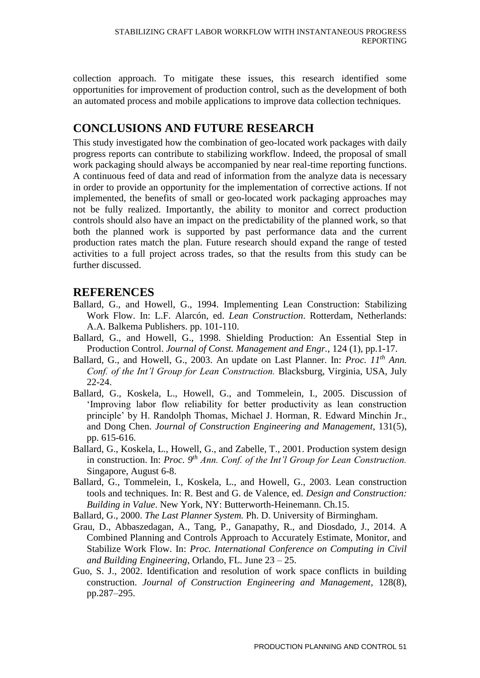collection approach. To mitigate these issues, this research identified some opportunities for improvement of production control, such as the development of both an automated process and mobile applications to improve data collection techniques.

# **CONCLUSIONS AND FUTURE RESEARCH**

This study investigated how the combination of geo-located work packages with daily progress reports can contribute to stabilizing workflow. Indeed, the proposal of small work packaging should always be accompanied by near real-time reporting functions. A continuous feed of data and read of information from the analyze data is necessary in order to provide an opportunity for the implementation of corrective actions. If not implemented, the benefits of small or geo-located work packaging approaches may not be fully realized. Importantly, the ability to monitor and correct production controls should also have an impact on the predictability of the planned work, so that both the planned work is supported by past performance data and the current production rates match the plan. Future research should expand the range of tested activities to a full project across trades, so that the results from this study can be further discussed.

### **REFERENCES**

- Ballard, G., and Howell, G., 1994. Implementing Lean Construction: Stabilizing Work Flow. In: L.F. Alarcón, ed. *Lean Construction*. Rotterdam, Netherlands: A.A. Balkema Publishers. pp. 101-110.
- Ballard, G., and Howell, G., 1998. Shielding Production: An Essential Step in Production Control. *Journal of Const. Management and Engr.*, 124 (1), pp.1-17.
- Ballard, G., and Howell, G., 2003. An update on Last Planner. In: *Proc. 11th Ann. Conf. of the Int'l Group for Lean Construction.* Blacksburg, Virginia, USA, July 22-24.
- Ballard, G., Koskela, L., Howell, G., and Tommelein, I., 2005. Discussion of 'Improving labor flow reliability for better productivity as lean construction principle' by H. Randolph Thomas, Michael J. Horman, R. Edward Minchin Jr., and Dong Chen. *Journal of Construction Engineering and Management*, 131(5), pp. 615-616.
- Ballard, G., Koskela, L., Howell, G., and Zabelle, T., 2001. Production system design in construction. In: *Proc.* 9<sup>th</sup> Ann. Conf. of the Int'l Group for Lean Construction. Singapore, August 6-8.
- Ballard, G., Tommelein, I., Koskela, L., and Howell, G., 2003. Lean construction tools and techniques. In: R. Best and G. de Valence, ed. *Design and Construction: Building in Value*. New York, NY: Butterworth-Heinemann. Ch.15.
- Ballard, G., 2000. *The Last Planner System.* Ph. D. University of Birmingham.
- Grau, D., Abbaszedagan, A., Tang, P., Ganapathy, R., and Diosdado, J., 2014. A Combined Planning and Controls Approach to Accurately Estimate, Monitor, and Stabilize Work Flow. In: *Proc. International Conference on Computing in Civil and Building Engineering*, Orlando, FL. June 23 – 25.
- Guo, S. J., 2002. Identification and resolution of work space conflicts in building construction. *Journal of Construction Engineering and Management*, 128(8), pp.287–295.